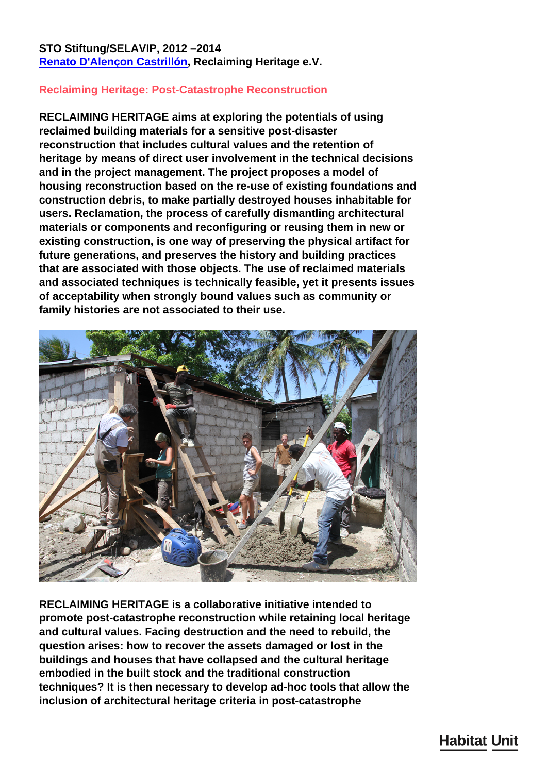## **STO Stiftung/SELAVIP, 2012 –2014 [Renato D'Alençon Castrillón](/en/team/renato-dalenon-castrilln/), Reclaiming Heritage e.V.**

## **Reclaiming Heritage: Post-Catastrophe Reconstruction**

**RECLAIMING HERITAGE aims at exploring the potentials of using reclaimed building materials for a sensitive post-disaster reconstruction that includes cultural values and the retention of heritage by means of direct user involvement in the technical decisions and in the project management. The project proposes a model of housing reconstruction based on the re-use of existing foundations and construction debris, to make partially destroyed houses inhabitable for users. Reclamation, the process of carefully dismantling architectural materials or components and reconfiguring or reusing them in new or existing construction, is one way of preserving the physical artifact for future generations, and preserves the history and building practices that are associated with those objects. The use of reclaimed materials and associated techniques is technically feasible, yet it presents issues of acceptability when strongly bound values such as community or family histories are not associated to their use.**



**RECLAIMING HERITAGE is a collaborative initiative intended to promote post-catastrophe reconstruction while retaining local heritage and cultural values. Facing destruction and the need to rebuild, the question arises: how to recover the assets damaged or lost in the buildings and houses that have collapsed and the cultural heritage embodied in the built stock and the traditional construction techniques? It is then necessary to develop ad-hoc tools that allow the inclusion of architectural heritage criteria in post-catastrophe**

## **Habitat Unit**